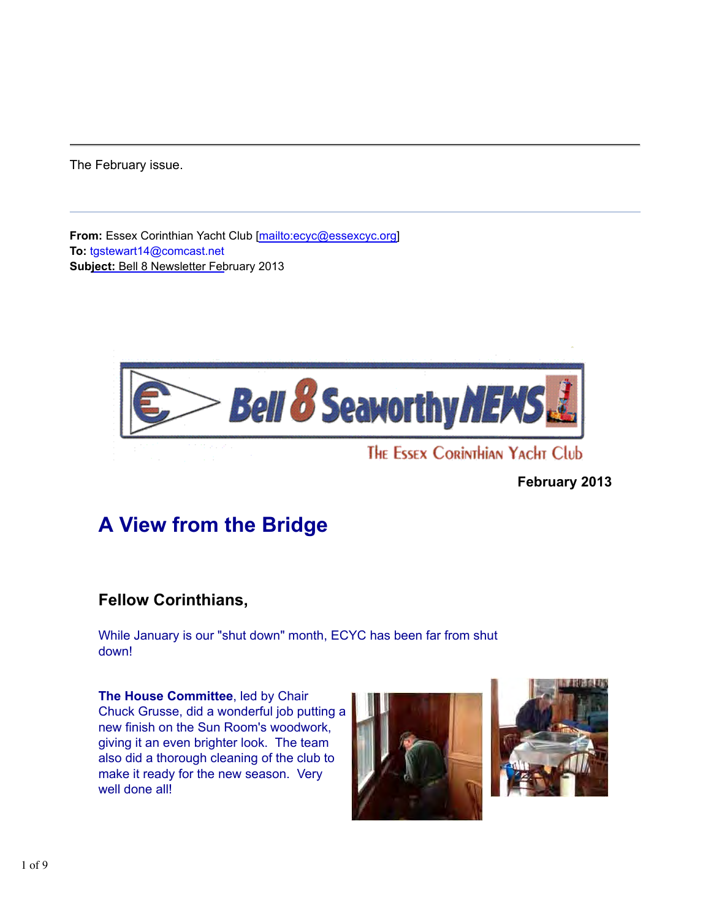The February issue.

**From:** Essex Corinthian Yacht Club [mailto:ecyc@essexcyc.org] **To:** tgstewart14@comcast.net **Subject:** Bell 8 Newsletter February 2013



### **February 2013**

# **A View from the Bridge**

## **Fellow Corinthians,**

While January is our "shut down" month, ECYC has been far from shut down!

**The House Committee**, led by Chair Chuck Grusse, did a wonderful job putting a new finish on the Sun Room's woodwork, giving it an even brighter look. The team also did a thorough cleaning of the club to make it ready for the new season. Very well done all!



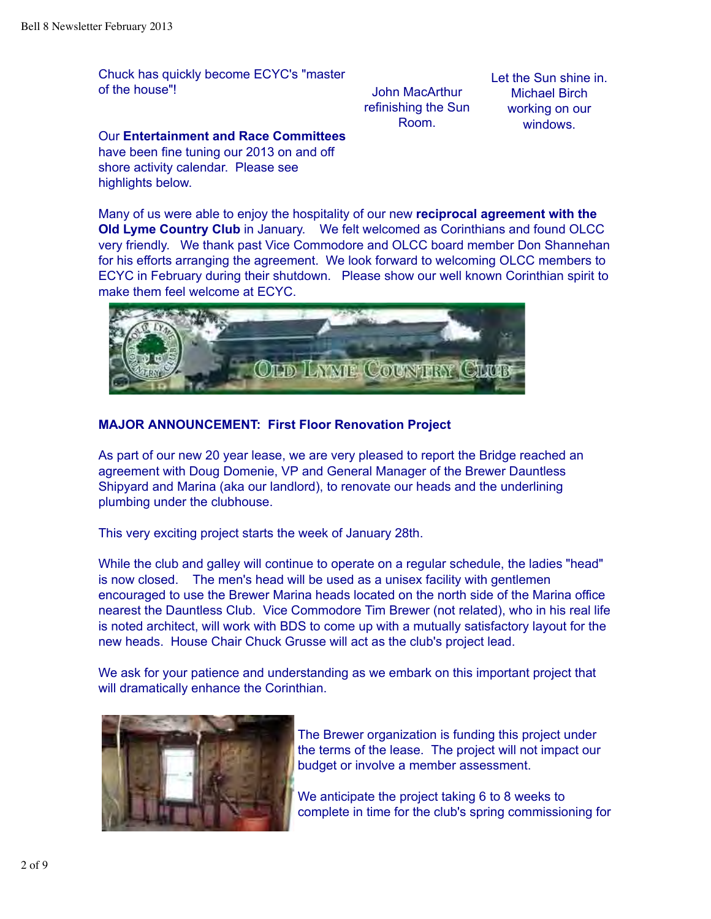Chuck has quickly become ECYC's "master of the house"!

John MacArthur refinishing the Sun Room.

Let the Sun shine in. Michael Birch working on our windows.

Our **Entertainment and Race Committees** have been fine tuning our 2013 on and off shore activity calendar. Please see highlights below.

Many of us were able to enjoy the hospitality of our new **reciprocal agreement with the Old Lyme Country Club** in January. We felt welcomed as Corinthians and found OLCC very friendly. We thank past Vice Commodore and OLCC board member Don Shannehan for his efforts arranging the agreement. We look forward to welcoming OLCC members to ECYC in February during their shutdown. Please show our well known Corinthian spirit to make them feel welcome at ECYC.



### **MAJOR ANNOUNCEMENT: First Floor Renovation Project**

As part of our new 20 year lease, we are very pleased to report the Bridge reached an agreement with Doug Domenie, VP and General Manager of the Brewer Dauntless Shipyard and Marina (aka our landlord), to renovate our heads and the underlining plumbing under the clubhouse.

This very exciting project starts the week of January 28th.

While the club and galley will continue to operate on a regular schedule, the ladies "head" is now closed. The men's head will be used as a unisex facility with gentlemen encouraged to use the Brewer Marina heads located on the north side of the Marina office nearest the Dauntless Club. Vice Commodore Tim Brewer (not related), who in his real life is noted architect, will work with BDS to come up with a mutually satisfactory layout for the new heads. House Chair Chuck Grusse will act as the club's project lead.

We ask for your patience and understanding as we embark on this important project that will dramatically enhance the Corinthian.



The Brewer organization is funding this project under the terms of the lease. The project will not impact our budget or involve a member assessment.

We anticipate the project taking 6 to 8 weeks to complete in time for the club's spring commissioning for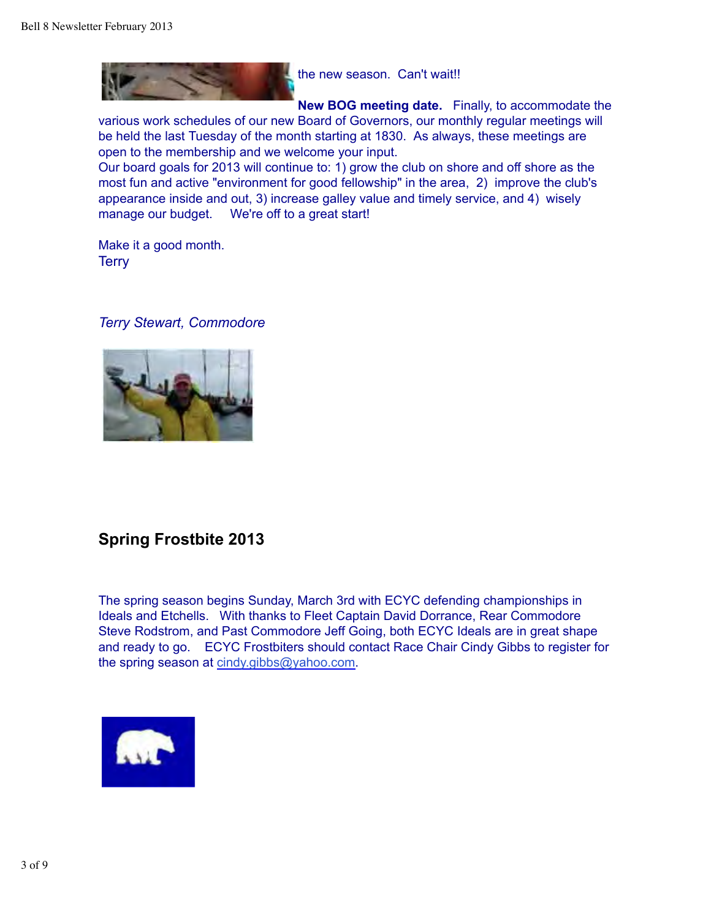

the new season. Can't wait!!

**New BOG meeting date.** Finally, to accommodate the various work schedules of our new Board of Governors, our monthly regular meetings will be held the last Tuesday of the month starting at 1830. As always, these meetings are open to the membership and we welcome your input.

Our board goals for 2013 will continue to: 1) grow the club on shore and off shore as the most fun and active "environment for good fellowship" in the area, 2) improve the club's appearance inside and out, 3) increase galley value and timely service, and 4) wisely manage our budget. We're off to a great start!

Make it a good month. **Terry** 

### *Terry Stewart, Commodore*



## **Spring Frostbite 2013**

The spring season begins Sunday, March 3rd with ECYC defending championships in Ideals and Etchells. With thanks to Fleet Captain David Dorrance, Rear Commodore Steve Rodstrom, and Past Commodore Jeff Going, both ECYC Ideals are in great shape and ready to go. ECYC Frostbiters should contact Race Chair Cindy Gibbs to register for the spring season at cindy.gibbs@yahoo.com.

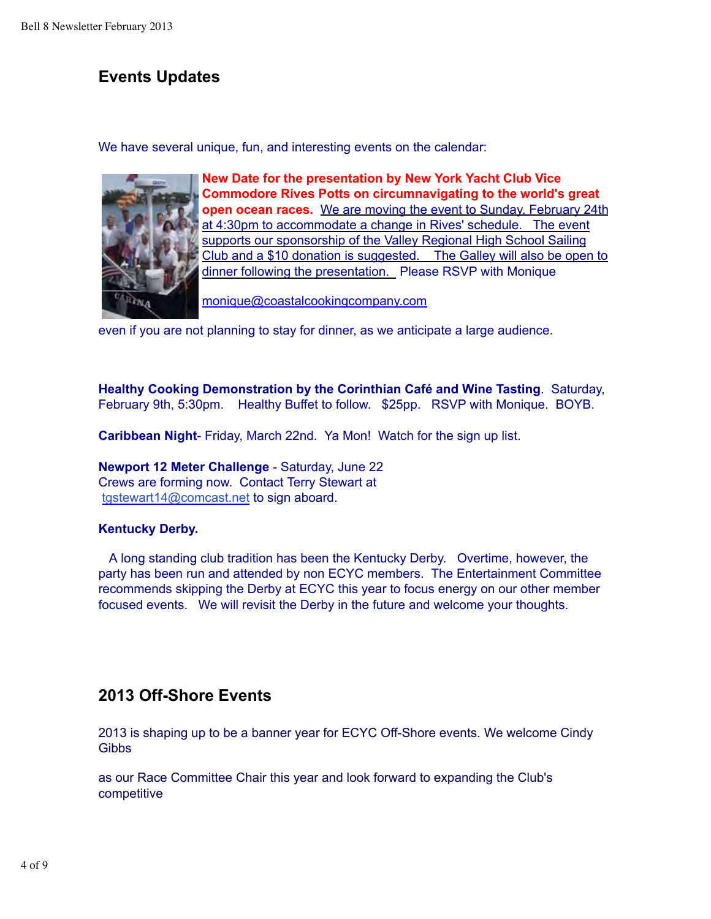## **Events Updates**

We have several unique, fun, and interesting events on the calendar:



**New Date for the presentation by New York Yacht Club Vice Commodore Rives Potts on circumnavigating to the world's great open ocean races.** We are moving the event to Sunday, February 24th at 4:30pm to accommodate a change in Rives' schedule. The event supports our sponsorship of the Valley Regional High School Sailing Club and a \$10 donation is suggested. The Galley will also be open to dinner following the presentation. Please RSVP with Monique

monique@coastalcookingcompany.com

even if you are not planning to stay for dinner, as we anticipate a large audience.

**Healthy Cooking Demonstration by the Corinthian Café and Wine Tasting**. Saturday, February 9th, 5:30pm. Healthy Buffet to follow. \$25pp. RSVP with Monique. BOYB.

**Caribbean Night**- Friday, March 22nd. Ya Mon! Watch for the sign up list.

**Newport 12 Meter Challenge** - Saturday, June 22 Crews are forming now. Contact Terry Stewart at tgstewart14@comcast.net to sign aboard.

### **Kentucky Derby.**

 A long standing club tradition has been the Kentucky Derby. Overtime, however, the party has been run and attended by non ECYC members. The Entertainment Committee recommends skipping the Derby at ECYC this year to focus energy on our other member focused events. We will revisit the Derby in the future and welcome your thoughts.

## **2013 Off-Shore Events**

2013 is shaping up to be a banner year for ECYC Off-Shore events. We welcome Cindy **Gibbs** 

as our Race Committee Chair this year and look forward to expanding the Club's competitive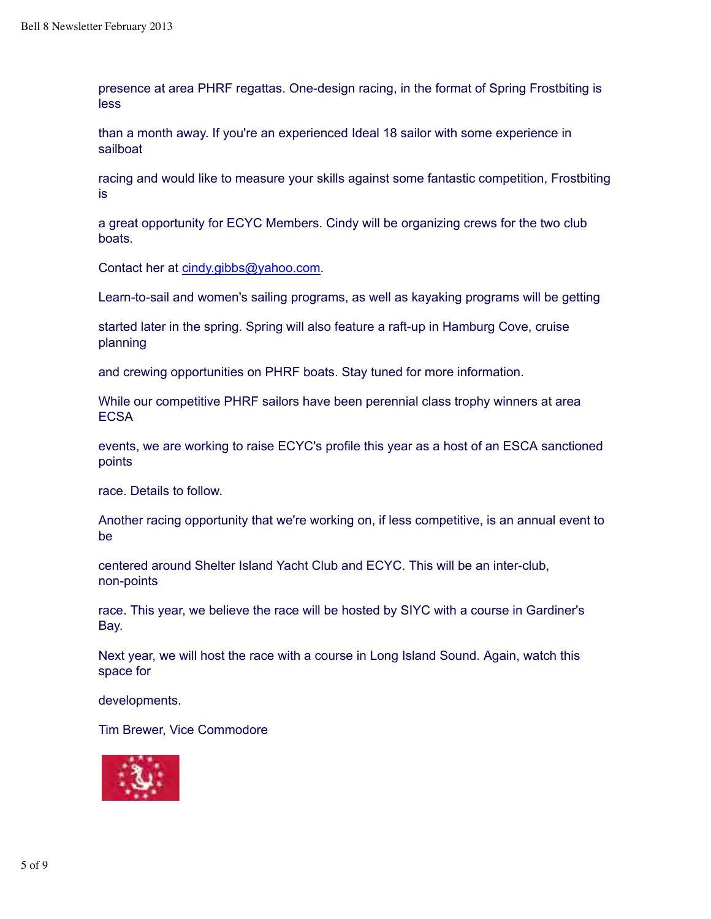presence at area PHRF regattas. One-design racing, in the format of Spring Frostbiting is less

than a month away. If you're an experienced Ideal 18 sailor with some experience in sailboat

racing and would like to measure your skills against some fantastic competition, Frostbiting is

a great opportunity for ECYC Members. Cindy will be organizing crews for the two club boats.

Contact her at cindy.gibbs@yahoo.com.

Learn-to-sail and women's sailing programs, as well as kayaking programs will be getting

started later in the spring. Spring will also feature a raft-up in Hamburg Cove, cruise planning

and crewing opportunities on PHRF boats. Stay tuned for more information.

While our competitive PHRF sailors have been perennial class trophy winners at area **ECSA** 

events, we are working to raise ECYC's profile this year as a host of an ESCA sanctioned points

race. Details to follow.

Another racing opportunity that we're working on, if less competitive, is an annual event to be

centered around Shelter Island Yacht Club and ECYC. This will be an inter-club, non-points

race. This year, we believe the race will be hosted by SIYC with a course in Gardiner's Bay.

Next year, we will host the race with a course in Long Island Sound. Again, watch this space for

developments.

Tim Brewer, Vice Commodore

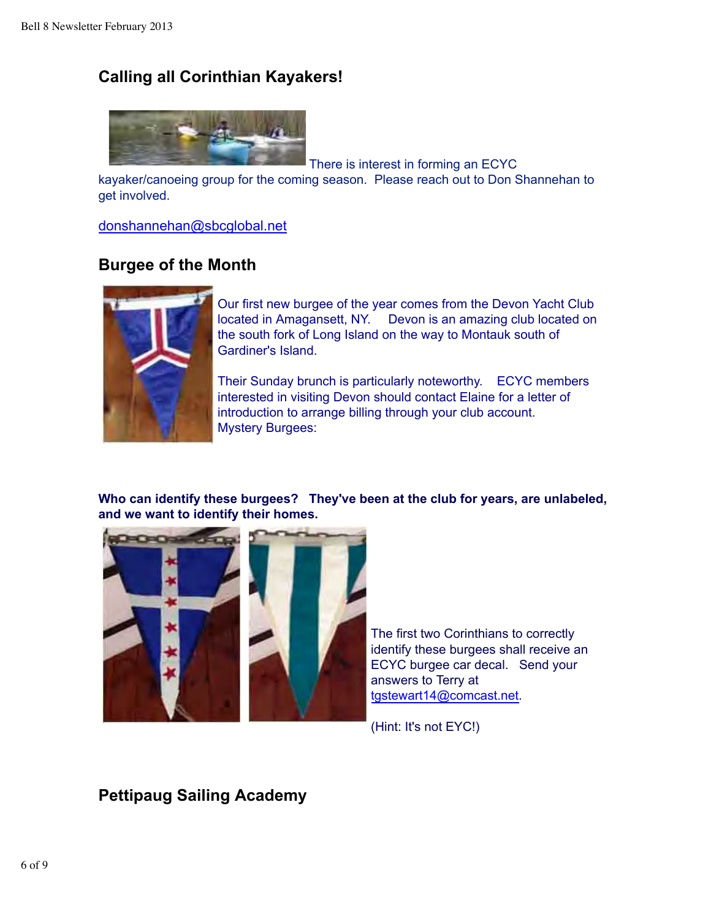## **Calling all Corinthian Kayakers!**



There is interest in forming an ECYC

kayaker/canoeing group for the coming season. Please reach out to Don Shannehan to get involved.

donshannehan@sbcglobal.net

## **Burgee of the Month**



Our first new burgee of the year comes from the Devon Yacht Club located in Amagansett, NY. Devon is an amazing club located on the south fork of Long Island on the way to Montauk south of Gardiner's Island.

Their Sunday brunch is particularly noteworthy. ECYC members interested in visiting Devon should contact Elaine for a letter of introduction to arrange billing through your club account. Mystery Burgees:

**Who can identify these burgees? They've been at the club for years, are unlabeled, and we want to identify their homes.** 



The first two Corinthians to correctly identify these burgees shall receive an ECYC burgee car decal. Send your answers to Terry at tgstewart14@comcast.net.

(Hint: It's not EYC!)

**Pettipaug Sailing Academy**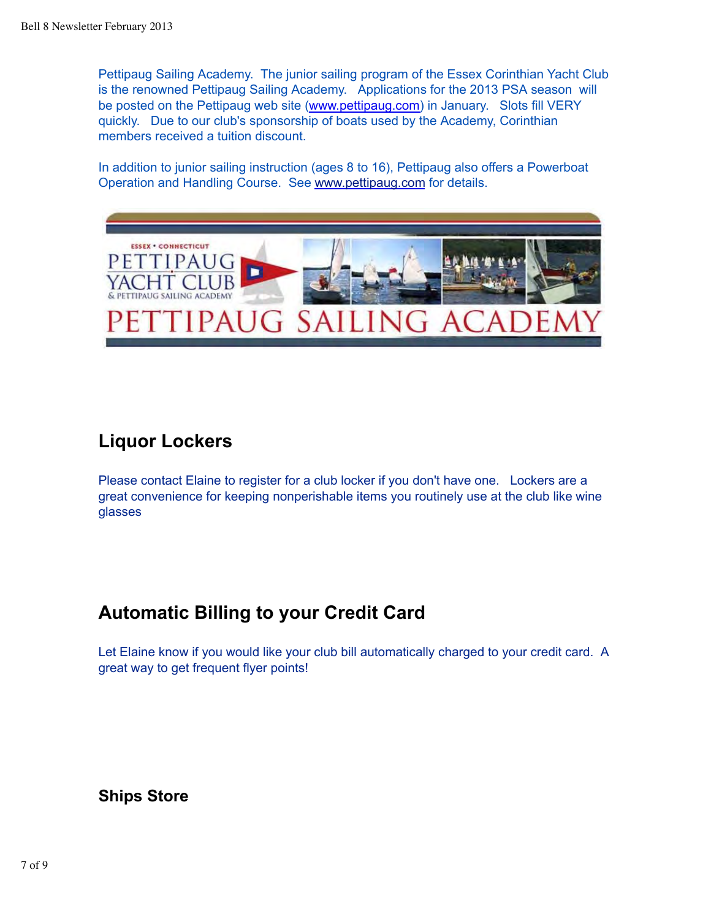Pettipaug Sailing Academy. The junior sailing program of the Essex Corinthian Yacht Club is the renowned Pettipaug Sailing Academy. Applications for the 2013 PSA season will be posted on the Pettipaug web site (www.pettipaug.com) in January. Slots fill VERY quickly. Due to our club's sponsorship of boats used by the Academy, Corinthian members received a tuition discount.

In addition to junior sailing instruction (ages 8 to 16), Pettipaug also offers a Powerboat Operation and Handling Course. See www.pettipaug.com for details.



## **Liquor Lockers**

Please contact Elaine to register for a club locker if you don't have one. Lockers are a great convenience for keeping nonperishable items you routinely use at the club like wine glasses

## **Automatic Billing to your Credit Card**

Let Elaine know if you would like your club bill automatically charged to your credit card. A great way to get frequent flyer points!

## **Ships Store**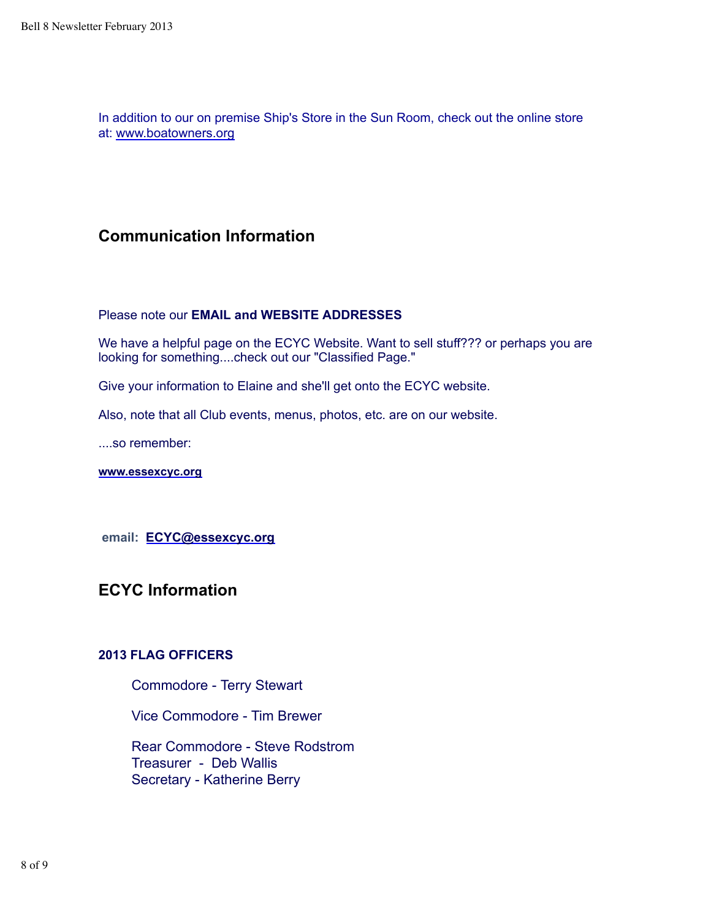In addition to our on premise Ship's Store in the Sun Room, check out the online store at: www.boatowners.org

### **Communication Information**

### Please note our **EMAIL and WEBSITE ADDRESSES**

We have a helpful page on the ECYC Website. Want to sell stuff??? or perhaps you are looking for something....check out our "Classified Page."

Give your information to Elaine and she'll get onto the ECYC website.

Also, note that all Club events, menus, photos, etc. are on our website.

....so remember:

**www.essexcyc.org**

 **email: ECYC@essexcyc.org**

**ECYC Information**

### **2013 FLAG OFFICERS**

Commodore - Terry Stewart

Vice Commodore - Tim Brewer

 Rear Commodore - Steve Rodstrom Treasurer - Deb Wallis Secretary - Katherine Berry